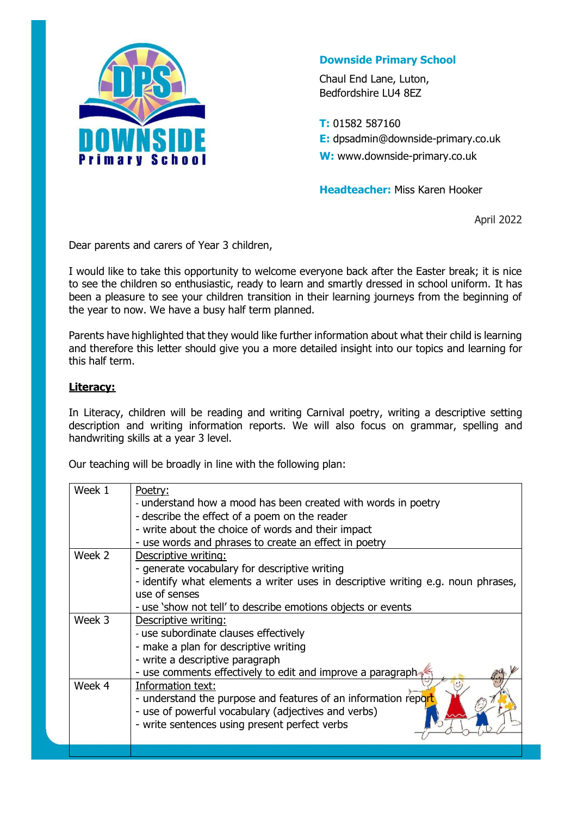

## **Downside Primary School**

Chaul End Lane, Luton, Bedfordshire LU4 8EZ

**T:** 01582 587160 **E:** dpsadmin@downside-primary.co.uk **W:** www.downside-primary.co.uk

**Headteacher:** Miss Karen Hooker

April 2022

Dear parents and carers of Year 3 children,

I would like to take this opportunity to welcome everyone back after the Easter break; it is nice to see the children so enthusiastic, ready to learn and smartly dressed in school uniform. It has been a pleasure to see your children transition in their learning journeys from the beginning of the year to now. We have a busy half term planned.

Parents have highlighted that they would like further information about what their child is learning and therefore this letter should give you a more detailed insight into our topics and learning for this half term.

### **Literacy:**

In Literacy, children will be reading and writing Carnival poetry, writing a descriptive setting description and writing information reports. We will also focus on grammar, spelling and handwriting skills at a year 3 level.

Our teaching will be broadly in line with the following plan:

| - use words and phrases to create an effect in poetry                                                                                                                                                                                      |
|--------------------------------------------------------------------------------------------------------------------------------------------------------------------------------------------------------------------------------------------|
| Descriptive writing:<br>- generate vocabulary for descriptive writing<br>- identify what elements a writer uses in descriptive writing e.g. noun phrases,<br>use of senses<br>- use 'show not tell' to describe emotions objects or events |
| Descriptive writing:<br>- use subordinate clauses effectively<br>- make a plan for descriptive writing<br>- write a descriptive paragraph<br>- use comments effectively to edit and improve a paragraph                                    |
| Information text:<br>- understand the purpose and features of an information report<br>- use of powerful vocabulary (adjectives and verbs)<br>- write sentences using present perfect verbs                                                |
|                                                                                                                                                                                                                                            |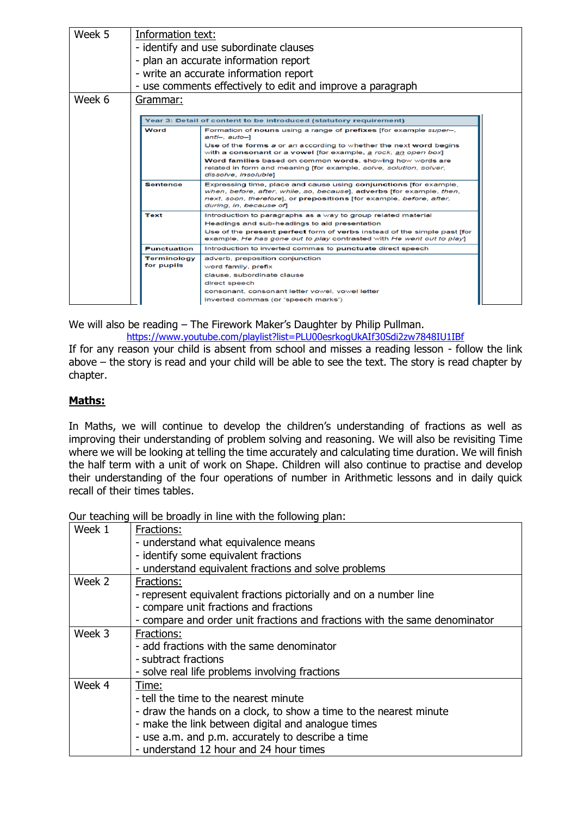| Week 5 | Information text:<br>- identify and use subordinate clauses |                                                                                                                                                                                                                                              |  |  |
|--------|-------------------------------------------------------------|----------------------------------------------------------------------------------------------------------------------------------------------------------------------------------------------------------------------------------------------|--|--|
|        |                                                             |                                                                                                                                                                                                                                              |  |  |
|        | - plan an accurate information report                       |                                                                                                                                                                                                                                              |  |  |
|        | - write an accurate information report                      |                                                                                                                                                                                                                                              |  |  |
|        |                                                             | - use comments effectively to edit and improve a paragraph                                                                                                                                                                                   |  |  |
| Week 6 | Grammar:                                                    |                                                                                                                                                                                                                                              |  |  |
|        |                                                             | Year 3: Detail of content to be introduced (statutory requirement)                                                                                                                                                                           |  |  |
|        | Word                                                        | Formation of nouns using a range of prefixes [for example super-,<br>anti-, auto-]                                                                                                                                                           |  |  |
|        |                                                             | Use of the forms a or an according to whether the next word begins<br>with a consonant or a vowel [for example, a rock, an open box]                                                                                                         |  |  |
|        |                                                             | Word families based on common words, showing how words are<br>related in form and meaning [for example, solve, solution, solver,<br>dissolve, insoluble]                                                                                     |  |  |
|        | <b>Sentence</b>                                             | Expressing time, place and cause using conjunctions [for example,<br>when, before, after, while, so, because], adverbs [for example, then,<br>next, soon, therefore], or prepositions [for example, before, after,<br>during, in, because of |  |  |
|        | <b>Text</b>                                                 | Introduction to paragraphs as a way to group related material                                                                                                                                                                                |  |  |
|        |                                                             | Headings and sub-headings to aid presentation                                                                                                                                                                                                |  |  |
|        |                                                             | Use of the present perfect form of verbs instead of the simple past [for<br>example, He has gone out to play contrasted with He went out to play]                                                                                            |  |  |
|        | <b>Punctuation</b>                                          | Introduction to inverted commas to punctuate direct speech                                                                                                                                                                                   |  |  |
|        | <b>Terminology</b>                                          | adverb, preposition conjunction                                                                                                                                                                                                              |  |  |
|        | for pupils                                                  | word family, prefix                                                                                                                                                                                                                          |  |  |
|        |                                                             | clause, subordinate clause                                                                                                                                                                                                                   |  |  |
|        |                                                             | direct speech                                                                                                                                                                                                                                |  |  |
|        |                                                             | consonant, consonant letter vowel, vowel letter                                                                                                                                                                                              |  |  |
|        |                                                             | inverted commas (or 'speech marks')                                                                                                                                                                                                          |  |  |

We will also be reading – The Firework Maker's Daughter by Philip Pullman.

<https://www.youtube.com/playlist?list=PLU00esrkogUkAIf30Sdi2zw7848IU1IBf>

If for any reason your child is absent from school and misses a reading lesson - follow the link above – the story is read and your child will be able to see the text. The story is read chapter by chapter.

## **Maths:**

In Maths, we will continue to develop the children's understanding of fractions as well as improving their understanding of problem solving and reasoning. We will also be revisiting Time where we will be looking at telling the time accurately and calculating time duration. We will finish the half term with a unit of work on Shape. Children will also continue to practise and develop their understanding of the four operations of number in Arithmetic lessons and in daily quick recall of their times tables.

Our teaching will be broadly in line with the following plan:

| Week 1 | Fractions:                                                                 |
|--------|----------------------------------------------------------------------------|
|        | - understand what equivalence means                                        |
|        | - identify some equivalent fractions                                       |
|        | - understand equivalent fractions and solve problems                       |
| Week 2 | Fractions:                                                                 |
|        | - represent equivalent fractions pictorially and on a number line          |
|        | - compare unit fractions and fractions                                     |
|        | - compare and order unit fractions and fractions with the same denominator |
| Week 3 | Fractions:                                                                 |
|        | - add fractions with the same denominator                                  |
|        | - subtract fractions                                                       |
|        | - solve real life problems involving fractions                             |
| Week 4 | Time:                                                                      |
|        | - tell the time to the nearest minute                                      |
|        | - draw the hands on a clock, to show a time to the nearest minute          |
|        | - make the link between digital and analogue times                         |
|        | - use a.m. and p.m. accurately to describe a time                          |
|        | - understand 12 hour and 24 hour times                                     |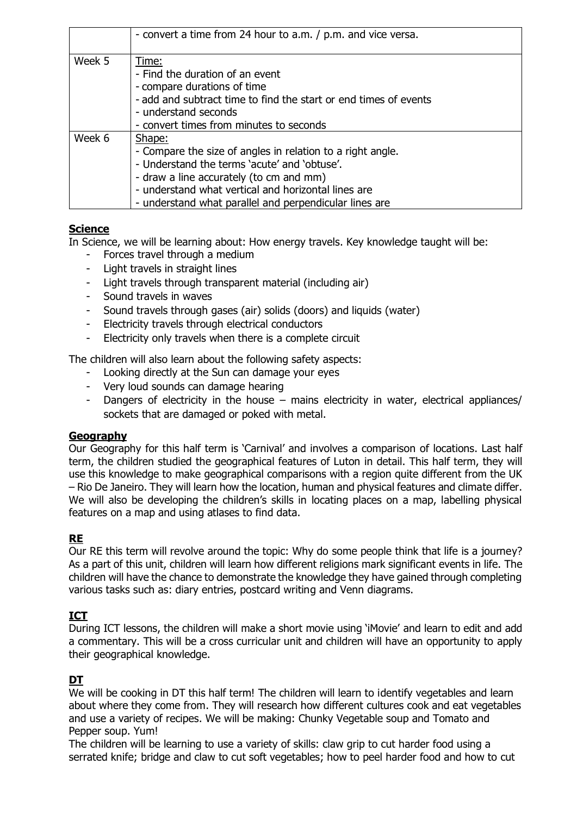|        | - convert a time from 24 hour to a.m. / p.m. and vice versa.                                                                                                                                                                                                                     |
|--------|----------------------------------------------------------------------------------------------------------------------------------------------------------------------------------------------------------------------------------------------------------------------------------|
| Week 5 | <u>Time:</u><br>- Find the duration of an event<br>- compare durations of time<br>- add and subtract time to find the start or end times of events<br>- understand seconds                                                                                                       |
|        | - convert times from minutes to seconds                                                                                                                                                                                                                                          |
| Week 6 | Shape:<br>- Compare the size of angles in relation to a right angle.<br>- Understand the terms 'acute' and 'obtuse'.<br>- draw a line accurately (to cm and mm)<br>- understand what vertical and horizontal lines are<br>- understand what parallel and perpendicular lines are |

## **Science**

In Science, we will be learning about: How energy travels. Key knowledge taught will be:

- Forces travel through a medium
- Light travels in straight lines
- Light travels through transparent material (including air)
- Sound travels in waves
- Sound travels through gases (air) solids (doors) and liquids (water)
- Electricity travels through electrical conductors
- Electricity only travels when there is a complete circuit

The children will also learn about the following safety aspects:

- Looking directly at the Sun can damage your eyes
- Very loud sounds can damage hearing
- Dangers of electricity in the house mains electricity in water, electrical appliances/ sockets that are damaged or poked with metal.

### **Geography**

Our Geography for this half term is 'Carnival' and involves a comparison of locations. Last half term, the children studied the geographical features of Luton in detail. This half term, they will use this knowledge to make geographical comparisons with a region quite different from the UK – Rio De Janeiro. They will learn how the location, human and physical features and climate differ. We will also be developing the children's skills in locating places on a map, labelling physical features on a map and using atlases to find data.

# **RE**

Our RE this term will revolve around the topic: Why do some people think that life is a journey? As a part of this unit, children will learn how different religions mark significant events in life. The children will have the chance to demonstrate the knowledge they have gained through completing various tasks such as: diary entries, postcard writing and Venn diagrams.

# **ICT**

During ICT lessons, the children will make a short movie using 'iMovie' and learn to edit and add a commentary. This will be a cross curricular unit and children will have an opportunity to apply their geographical knowledge.

# **DT**

We will be cooking in DT this half term! The children will learn to identify vegetables and learn about where they come from. They will research how different cultures cook and eat vegetables and use a variety of recipes. We will be making: Chunky Vegetable soup and Tomato and Pepper soup. Yum!

The children will be learning to use a variety of skills: claw grip to cut harder food using a serrated knife; bridge and claw to cut soft vegetables; how to peel harder food and how to cut